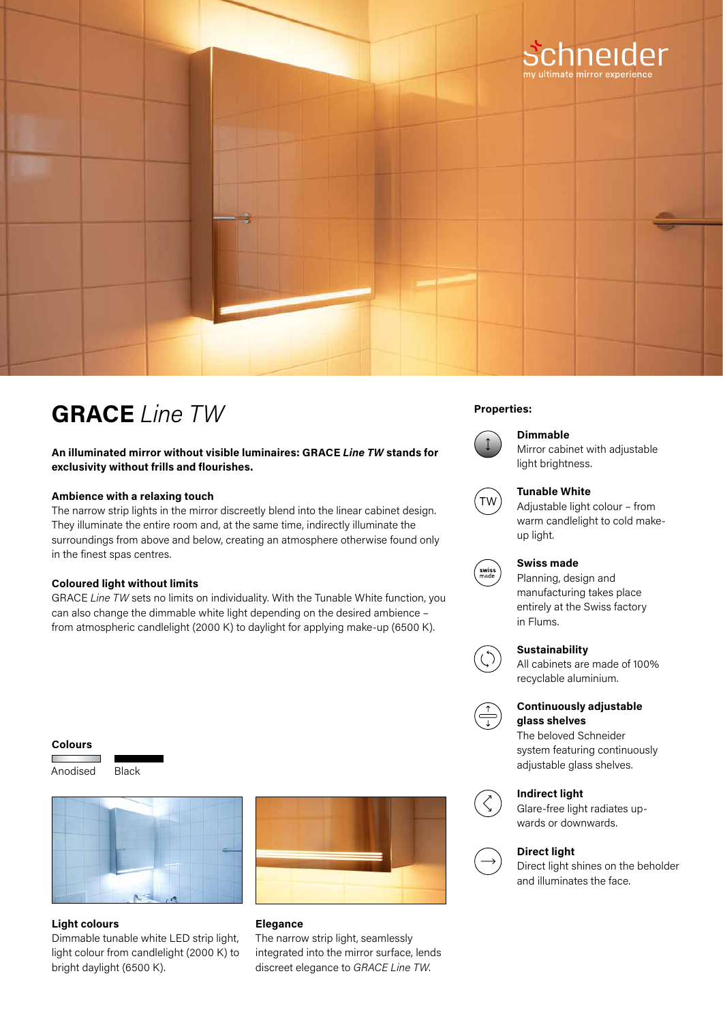

## **Properties: GRACE** *Line TW*

### **An illuminated mirror without visible luminaires: GRACE** *Line TW* **stands for exclusivity without frills and flourishes.**

#### **Ambience with a relaxing touch**

The narrow strip lights in the mirror discreetly blend into the linear cabinet design. They illuminate the entire room and, at the same time, indirectly illuminate the surroundings from above and below, creating an atmosphere otherwise found only in the finest spas centres.

#### **Coloured light without limits**

GRACE *Line TW* sets no limits on individuality. With the Tunable White function, you can also change the dimmable white light depending on the desired ambience – from atmospheric candlelight (2000 K) to daylight for applying make-up (6500 K).

#### **Colours**

Anodised Black



#### **Light colours**

Dimmable tunable white LED strip light, light colour from candlelight (2000 K) to bright daylight (6500 K).



#### **Elegance**

The narrow strip light, seamlessly integrated into the mirror surface, lends discreet elegance to *GRACE Line TW*.



#### **Dimmable**

Mirror cabinet with adjustable light brightness.



#### **Tunable White**

Adjustable light colour – from warm candlelight to cold makeup light.



## **Swiss made**

Planning, design and manufacturing takes place entirely at the Swiss factory in Flums.



### **Sustainability**

All cabinets are made of 100% recyclable aluminium.



#### **Continuously adjustable glass shelves**

The beloved Schneider system featuring continuously adjustable glass shelves.



#### **Indirect light**

Glare-free light radiates upwards or downwards.



Direct light shines on the beholder and illuminates the face.